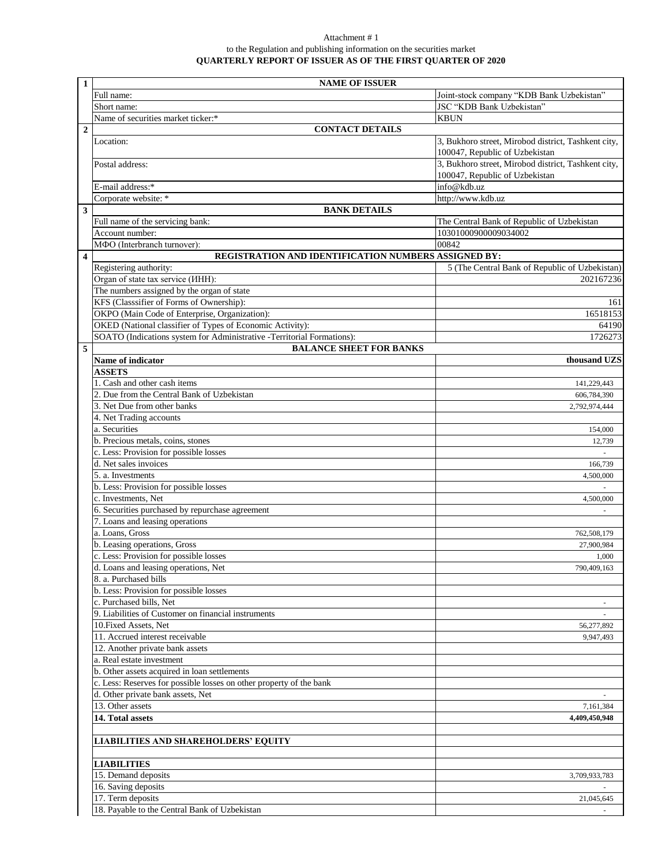## Attachment # 1 to the Regulation and publishing information on the securities market **QUARTERLY REPORT OF ISSUER AS OF THE FIRST QUARTER OF 2020**

| $\mathbf{1}$            | <b>NAME OF ISSUER</b>                                                                                    |                                                                                       |  |
|-------------------------|----------------------------------------------------------------------------------------------------------|---------------------------------------------------------------------------------------|--|
|                         | Full name:                                                                                               | Joint-stock company "KDB Bank Uzbekistan"                                             |  |
|                         | Short name:                                                                                              | JSC "KDB Bank Uzbekistan"                                                             |  |
|                         | Name of securities market ticker:*                                                                       | <b>KBUN</b>                                                                           |  |
| $\overline{2}$          | <b>CONTACT DETAILS</b>                                                                                   |                                                                                       |  |
|                         | Location:                                                                                                | 3, Bukhoro street, Mirobod district, Tashkent city,<br>100047, Republic of Uzbekistan |  |
|                         | Postal address:                                                                                          | 3, Bukhoro street, Mirobod district, Tashkent city,<br>100047, Republic of Uzbekistan |  |
|                         | E-mail address:*                                                                                         | info@kdb.uz                                                                           |  |
|                         | Corporate website: *                                                                                     | http://www.kdb.uz                                                                     |  |
| $\overline{\mathbf{3}}$ | <b>BANK DETAILS</b>                                                                                      |                                                                                       |  |
|                         | Full name of the servicing bank:                                                                         | The Central Bank of Republic of Uzbekistan                                            |  |
|                         | Account number:                                                                                          | 10301000900009034002                                                                  |  |
|                         | МФО (Interbranch turnover):                                                                              | 00842                                                                                 |  |
| $\overline{\mathbf{4}}$ | REGISTRATION AND IDENTIFICATION NUMBERS ASSIGNED BY:                                                     |                                                                                       |  |
|                         | Registering authority:                                                                                   | 5 (The Central Bank of Republic of Uzbekistan)                                        |  |
|                         | Organ of state tax service (IHH):                                                                        | 202167236                                                                             |  |
|                         | The numbers assigned by the organ of state                                                               |                                                                                       |  |
|                         | KFS (Classsifier of Forms of Ownership):                                                                 | 161                                                                                   |  |
|                         | OKPO (Main Code of Enterprise, Organization):                                                            | 16518153                                                                              |  |
|                         | OKED (National classifier of Types of Economic Activity):                                                | 64190                                                                                 |  |
|                         | SOATO (Indications system for Administrative -Territorial Formations):                                   | 1726273                                                                               |  |
| 5                       | <b>BALANCE SHEET FOR BANKS</b>                                                                           |                                                                                       |  |
|                         | Name of indicator                                                                                        | thousand UZS                                                                          |  |
|                         | <b>ASSETS</b>                                                                                            |                                                                                       |  |
|                         | 1. Cash and other cash items                                                                             | 141,229,443                                                                           |  |
|                         | 2. Due from the Central Bank of Uzbekistan                                                               | 606,784,390                                                                           |  |
|                         | 3. Net Due from other banks                                                                              | 2,792,974,444                                                                         |  |
|                         | 4. Net Trading accounts                                                                                  |                                                                                       |  |
|                         | a. Securities                                                                                            | 154,000                                                                               |  |
|                         | b. Precious metals, coins, stones                                                                        | 12,739                                                                                |  |
|                         | c. Less: Provision for possible losses                                                                   |                                                                                       |  |
|                         | d. Net sales invoices                                                                                    | 166,739                                                                               |  |
|                         | 5. a. Investments                                                                                        | 4,500,000                                                                             |  |
|                         | b. Less: Provision for possible losses                                                                   |                                                                                       |  |
|                         | c. Investments, Net                                                                                      | 4,500,000                                                                             |  |
|                         | 6. Securities purchased by repurchase agreement                                                          |                                                                                       |  |
|                         | 7. Loans and leasing operations                                                                          |                                                                                       |  |
|                         | a. Loans, Gross                                                                                          | 762,508,179                                                                           |  |
|                         | b. Leasing operations, Gross                                                                             | 27,900,984                                                                            |  |
|                         | c. Less: Provision for possible losses                                                                   | 1,000                                                                                 |  |
|                         | d. Loans and leasing operations, Net                                                                     | 790,409,163                                                                           |  |
|                         | 8. a. Purchased bills                                                                                    |                                                                                       |  |
|                         | b. Less: Provision for possible losses                                                                   |                                                                                       |  |
|                         | c. Purchased bills, Net                                                                                  |                                                                                       |  |
|                         | 9. Liabilities of Customer on financial instruments                                                      |                                                                                       |  |
|                         | 10. Fixed Assets, Net                                                                                    | 56,277,892                                                                            |  |
|                         | 11. Accrued interest receivable                                                                          | 9,947,493                                                                             |  |
|                         | 12. Another private bank assets                                                                          |                                                                                       |  |
|                         | a. Real estate investment                                                                                |                                                                                       |  |
|                         | b. Other assets acquired in loan settlements                                                             |                                                                                       |  |
|                         | c. Less: Reserves for possible losses on other property of the bank<br>d. Other private bank assets, Net |                                                                                       |  |
|                         | 13. Other assets                                                                                         | $\overline{\phantom{a}}$                                                              |  |
|                         | 14. Total assets                                                                                         | 7,161,384                                                                             |  |
|                         |                                                                                                          | 4,409,450,948                                                                         |  |
|                         | <b>LIABILITIES AND SHAREHOLDERS' EQUITY</b>                                                              |                                                                                       |  |
|                         |                                                                                                          |                                                                                       |  |
|                         | <b>LIABILITIES</b>                                                                                       |                                                                                       |  |
|                         | 15. Demand deposits                                                                                      | 3,709,933,783                                                                         |  |
|                         | 16. Saving deposits                                                                                      |                                                                                       |  |
|                         | 17. Term deposits                                                                                        | 21,045,645                                                                            |  |
|                         | 18. Payable to the Central Bank of Uzbekistan                                                            |                                                                                       |  |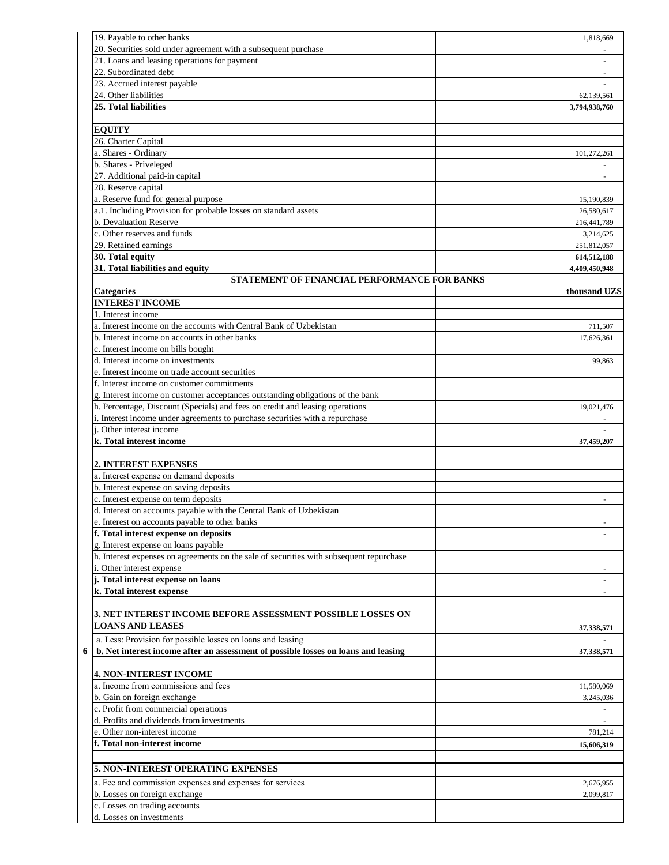| 19. Payable to other banks                                                                              | 1.818.669      |
|---------------------------------------------------------------------------------------------------------|----------------|
| 20. Securities sold under agreement with a subsequent purchase                                          |                |
| 21. Loans and leasing operations for payment                                                            |                |
| 22. Subordinated debt                                                                                   | $\sim$         |
| 23. Accrued interest payable                                                                            |                |
| 24. Other liabilities                                                                                   | 62,139,561     |
| 25. Total liabilities                                                                                   | 3,794,938,760  |
|                                                                                                         |                |
| <b>EQUITY</b>                                                                                           |                |
| 26. Charter Capital                                                                                     |                |
| a. Shares - Ordinary                                                                                    | 101,272,261    |
| b. Shares - Priveleged                                                                                  |                |
| 27. Additional paid-in capital                                                                          |                |
| 28. Reserve capital                                                                                     |                |
| a. Reserve fund for general purpose                                                                     | 15,190,839     |
| a.1. Including Provision for probable losses on standard assets                                         | 26,580,617     |
| b. Devaluation Reserve                                                                                  | 216,441,789    |
| c. Other reserves and funds                                                                             | 3,214,625      |
| 29. Retained earnings                                                                                   | 251,812,057    |
| 30. Total equity                                                                                        | 614,512,188    |
| 31. Total liabilities and equity                                                                        | 4,409,450,948  |
| STATEMENT OF FINANCIAL PERFORMANCE FOR BANKS                                                            |                |
| <b>Categories</b>                                                                                       | thousand UZS   |
| <b>INTEREST INCOME</b>                                                                                  |                |
| 1. Interest income                                                                                      |                |
| a. Interest income on the accounts with Central Bank of Uzbekistan                                      | 711,507        |
| b. Interest income on accounts in other banks                                                           | 17,626,361     |
| c. Interest income on bills bought                                                                      |                |
| d. Interest income on investments                                                                       | 99,863         |
| e. Interest income on trade account securities                                                          |                |
| f. Interest income on customer commitments                                                              |                |
| g. Interest income on customer acceptances outstanding obligations of the bank                          |                |
| h. Percentage, Discount (Specials) and fees on credit and leasing operations                            | 19,021,476     |
| i. Interest income under agreements to purchase securities with a repurchase<br>. Other interest income |                |
|                                                                                                         | $\overline{a}$ |
| k. Total interest income                                                                                | 37,459,207     |
| <b>2. INTEREST EXPENSES</b>                                                                             |                |
| a. Interest expense on demand deposits                                                                  |                |
| b. Interest expense on saving deposits                                                                  |                |
| c. Interest expense on term deposits                                                                    | $\sim$         |
| d. Interest on accounts payable with the Central Bank of Uzbekistan                                     |                |
| e. Interest on accounts payable to other banks                                                          |                |
| f. Total interest expense on deposits                                                                   |                |
| g. Interest expense on loans payable                                                                    | $\blacksquare$ |
| h. Interest expenses on agreements on the sale of securities with subsequent repurchase                 |                |
| i. Other interest expense                                                                               |                |
| j. Total interest expense on loans                                                                      |                |
| k. Total interest expense                                                                               | $\blacksquare$ |
|                                                                                                         |                |
| 3. NET INTEREST INCOME BEFORE ASSESSMENT POSSIBLE LOSSES ON                                             |                |
| <b>LOANS AND LEASES</b>                                                                                 |                |
|                                                                                                         | 37,338,571     |
| a. Less: Provision for possible losses on loans and leasing                                             |                |
| b. Net interest income after an assessment of possible losses on loans and leasing                      | 37,338,571     |
|                                                                                                         |                |
| <b>4. NON-INTEREST INCOME</b>                                                                           |                |
| a. Income from commissions and fees                                                                     | 11,580,069     |
| b. Gain on foreign exchange                                                                             | 3,245,036      |
| c. Profit from commercial operations                                                                    |                |
| d. Profits and dividends from investments                                                               |                |
| e. Other non-interest income                                                                            | 781,214        |
| f. Total non-interest income                                                                            | 15,606,319     |
|                                                                                                         |                |
| <b>5. NON-INTEREST OPERATING EXPENSES</b>                                                               |                |
| a. Fee and commission expenses and expenses for services                                                | 2,676,955      |
| b. Losses on foreign exchange                                                                           | 2,099,817      |
| c. Losses on trading accounts                                                                           |                |
| d. Losses on investments                                                                                |                |
|                                                                                                         |                |